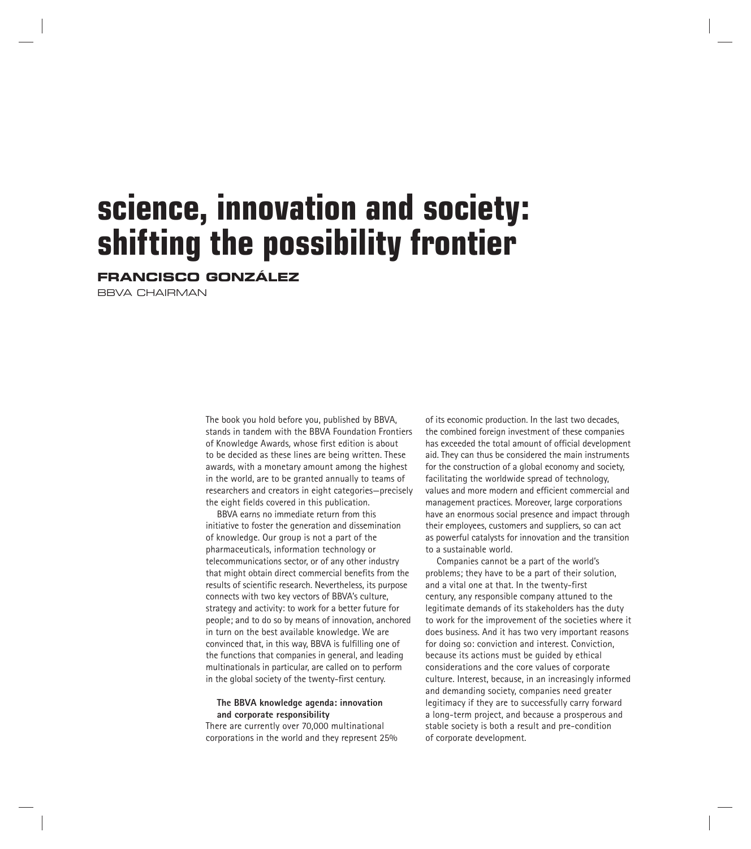# **science, innovation and society: shifting the possibility frontier**

**FRANCISCO GONZÁLEZ**

BBVA CHAIRMAN

The book you hold before you, published by BBVA, stands in tandem with the BBVA Foundation Frontiers of Knowledge Awards*,* whose first edition is about to be decided as these lines are being written. These awards, with a monetary amount among the highest in the world, are to be granted annually to teams of researchers and creators in eight categories—precisely the eight fields covered in this publication.

BBVA earns no immediate return from this initiative to foster the generation and dissemination of knowledge. Our group is not a part of the pharmaceuticals, information technology or telecommunications sector, or of any other industry that might obtain direct commercial benefits from the results of scientific research. Nevertheless, its purpose connects with two key vectors of BBVA's culture, strategy and activity: to work for a better future for people; and to do so by means of innovation, anchored in turn on the best available knowledge. We are convinced that, in this way, BBVA is fulfilling one of the functions that companies in general, and leading multinationals in particular, are called on to perform in the global society of the twenty-first century.

## **The BBVA knowledge agenda: innovation and corporate responsibility**

There are currently over 70,000 multinational corporations in the world and they represent 25% of its economic production. In the last two decades, the combined foreign investment of these companies has exceeded the total amount of official development aid. They can thus be considered the main instruments for the construction of a global economy and society, facilitating the worldwide spread of technology, values and more modern and efficient commercial and management practices. Moreover, large corporations have an enormous social presence and impact through their employees, customers and suppliers, so can act as powerful catalysts for innovation and the transition to a sustainable world.

Companies cannot be a part of the world's problems; they have to be a part of their solution, and a vital one at that. In the twenty-first century, any responsible company attuned to the legitimate demands of its stakeholders has the duty to work for the improvement of the societies where it does business. And it has two very important reasons for doing so: conviction and interest. Conviction, because its actions must be guided by ethical considerations and the core values of corporate culture. Interest, because, in an increasingly informed and demanding society, companies need greater legitimacy if they are to successfully carry forward a long-term project, and because a prosperous and stable society is both a result and pre-condition of corporate development.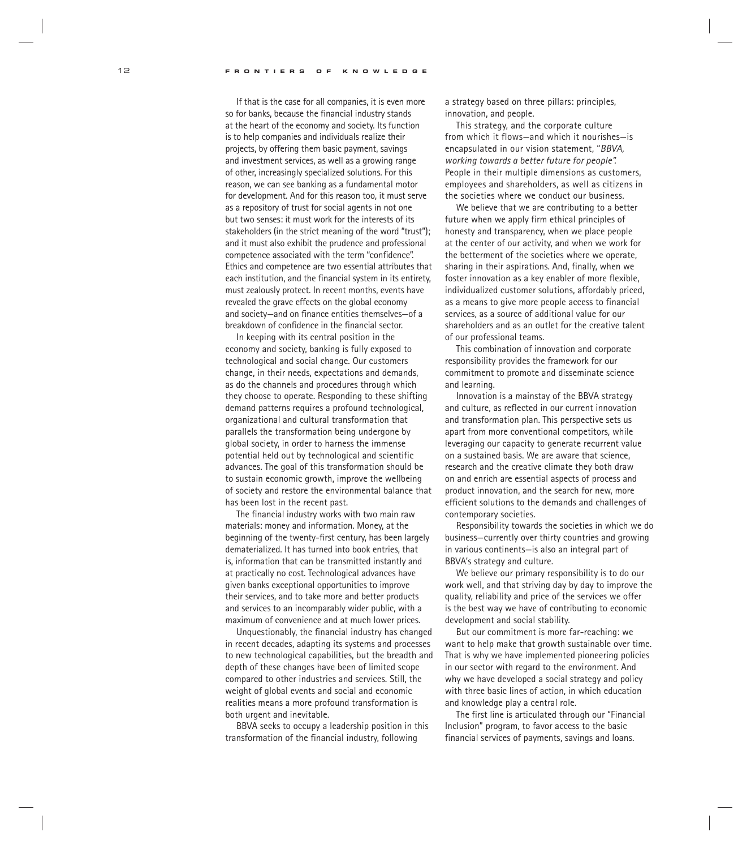If that is the case for all companies, it is even more so for banks, because the financial industry stands at the heart of the economy and society. Its function is to help companies and individuals realize their projects, by offering them basic payment, savings and investment services, as well as a growing range of other, increasingly specialized solutions. For this reason, we can see banking as a fundamental motor for development. And for this reason too, it must serve as a repository of trust for social agents in not one but two senses: it must work for the interests of its stakeholders (in the strict meaning of the word "trust"); and it must also exhibit the prudence and professional competence associated with the term "confidence". Ethics and competence are two essential attributes that each institution, and the financial system in its entirety, must zealously protect. In recent months, events have revealed the grave effects on the global economy and society—and on finance entities themselves—of a breakdown of confidence in the financial sector.

In keeping with its central position in the economy and society, banking is fully exposed to technological and social change. Our customers change, in their needs, expectations and demands, as do the channels and procedures through which they choose to operate. Responding to these shifting demand patterns requires a profound technological, organizational and cultural transformation that parallels the transformation being undergone by global society, in order to harness the immense potential held out by technological and scientific advances. The goal of this transformation should be to sustain economic growth, improve the wellbeing of society and restore the environmental balance that has been lost in the recent past.

The financial industry works with two main raw materials: money and information. Money, at the beginning of the twenty-first century, has been largely dematerialized. It has turned into book entries, that is, information that can be transmitted instantly and at practically no cost. Technological advances have given banks exceptional opportunities to improve their services, and to take more and better products and services to an incomparably wider public, with a maximum of convenience and at much lower prices.

Unquestionably, the financial industry has changed in recent decades, adapting its systems and processes to new technological capabilities, but the breadth and depth of these changes have been of limited scope compared to other industries and services. Still, the weight of global events and social and economic realities means a more profound transformation is both urgent and inevitable.

BBVA seeks to occupy a leadership position in this transformation of the financial industry, following

a strategy based on three pillars: principles, innovation, and people.

This strategy, and the corporate culture from which it flows—and which it nourishes—is encapsulated in our vision statement, "*BBVA, working towards a better future for people".* People in their multiple dimensions as customers, employees and shareholders, as well as citizens in the societies where we conduct our business.

We believe that we are contributing to a better future when we apply firm ethical principles of honesty and transparency, when we place people at the center of our activity, and when we work for the betterment of the societies where we operate, sharing in their aspirations. And, finally, when we foster innovation as a key enabler of more flexible, individualized customer solutions, affordably priced, as a means to give more people access to financial services, as a source of additional value for our shareholders and as an outlet for the creative talent of our professional teams.

This combination of innovation and corporate responsibility provides the framework for our commitment to promote and disseminate science and learning.

Innovation is a mainstay of the BBVA strategy and culture, as reflected in our current innovation and transformation plan. This perspective sets us apart from more conventional competitors, while leveraging our capacity to generate recurrent value on a sustained basis. We are aware that science, research and the creative climate they both draw on and enrich are essential aspects of process and product innovation, and the search for new, more efficient solutions to the demands and challenges of contemporary societies.

Responsibility towards the societies in which we do business—currently over thirty countries and growing in various continents—is also an integral part of BBVA's strategy and culture.

We believe our primary responsibility is to do our work well, and that striving day by day to improve the quality, reliability and price of the services we offer is the best way we have of contributing to economic development and social stability.

But our commitment is more far-reaching: we want to help make that growth sustainable over time. That is why we have implemented pioneering policies in our sector with regard to the environment. And why we have developed a social strategy and policy with three basic lines of action, in which education and knowledge play a central role.

The first line is articulated through our "Financial Inclusion" program, to favor access to the basic financial services of payments, savings and loans.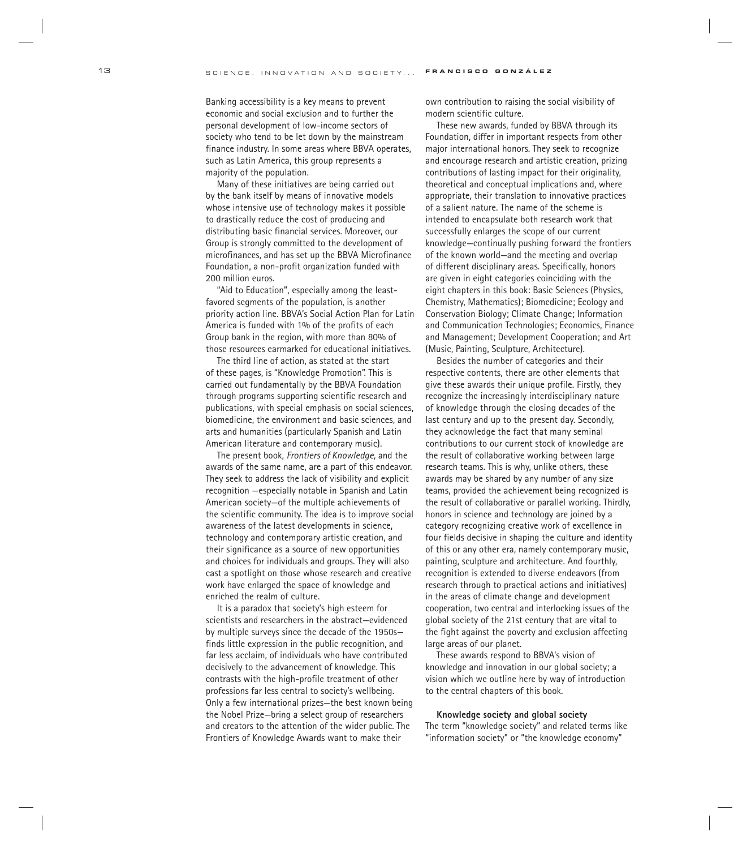Banking accessibility is a key means to prevent economic and social exclusion and to further the personal development of low-income sectors of society who tend to be let down by the mainstream finance industry. In some areas where BBVA operates, such as Latin America, this group represents a majority of the population.

Many of these initiatives are being carried out by the bank itself by means of innovative models whose intensive use of technology makes it possible to drastically reduce the cost of producing and distributing basic financial services. Moreover, our Group is strongly committed to the development of microfinances, and has set up the BBVA Microfinance Foundation, a non-profit organization funded with 200 million euros.

"Aid to Education", especially among the leastfavored segments of the population, is another priority action line. BBVA's Social Action Plan for Latin America is funded with 1% of the profits of each Group bank in the region, with more than 80% of those resources earmarked for educational initiatives.

The third line of action, as stated at the start of these pages, is "Knowledge Promotion". This is carried out fundamentally by the BBVA Foundation through programs supporting scientific research and publications, with special emphasis on social sciences, biomedicine, the environment and basic sciences, and arts and humanities (particularly Spanish and Latin American literature and contemporary music).

The present book, *Frontiers of Knowledge,* and the awards of the same name, are a part of this endeavor. They seek to address the lack of visibility and explicit recognition —especially notable in Spanish and Latin American society—of the multiple achievements of the scientific community. The idea is to improve social awareness of the latest developments in science, technology and contemporary artistic creation, and their significance as a source of new opportunities and choices for individuals and groups. They will also cast a spotlight on those whose research and creative work have enlarged the space of knowledge and enriched the realm of culture.

It is a paradox that society's high esteem for scientists and researchers in the abstract—evidenced by multiple surveys since the decade of the 1950s finds little expression in the public recognition, and far less acclaim, of individuals who have contributed decisively to the advancement of knowledge. This contrasts with the high-profile treatment of other professions far less central to society's wellbeing. Only a few international prizes—the best known being the Nobel Prize—bring a select group of researchers and creators to the attention of the wider public. The Frontiers of Knowledge Awards want to make their

own contribution to raising the social visibility of modern scientific culture.

These new awards, funded by BBVA through its Foundation, differ in important respects from other major international honors. They seek to recognize and encourage research and artistic creation, prizing contributions of lasting impact for their originality, theoretical and conceptual implications and, where appropriate, their translation to innovative practices of a salient nature. The name of the scheme is intended to encapsulate both research work that successfully enlarges the scope of our current knowledge—continually pushing forward the frontiers of the known world—and the meeting and overlap of different disciplinary areas. Specifically, honors are given in eight categories coinciding with the eight chapters in this book: Basic Sciences (Physics, Chemistry, Mathematics); Biomedicine; Ecology and Conservation Biology; Climate Change; Information and Communication Technologies; Economics, Finance and Management; Development Cooperation; and Art (Music, Painting, Sculpture, Architecture).

Besides the number of categories and their respective contents, there are other elements that give these awards their unique profile. Firstly, they recognize the increasingly interdisciplinary nature of knowledge through the closing decades of the last century and up to the present day. Secondly, they acknowledge the fact that many seminal contributions to our current stock of knowledge are the result of collaborative working between large research teams. This is why, unlike others, these awards may be shared by any number of any size teams, provided the achievement being recognized is the result of collaborative or parallel working. Thirdly, honors in science and technology are joined by a category recognizing creative work of excellence in four fields decisive in shaping the culture and identity of this or any other era, namely contemporary music, painting, sculpture and architecture. And fourthly, recognition is extended to diverse endeavors (from research through to practical actions and initiatives) in the areas of climate change and development cooperation, two central and interlocking issues of the global society of the 21st century that are vital to the fight against the poverty and exclusion affecting large areas of our planet.

These awards respond to BBVA's vision of knowledge and innovation in our global society; a vision which we outline here by way of introduction to the central chapters of this book.

### **Knowledge society and global society**

The term "knowledge society" and related terms like "information society" or "the knowledge economy"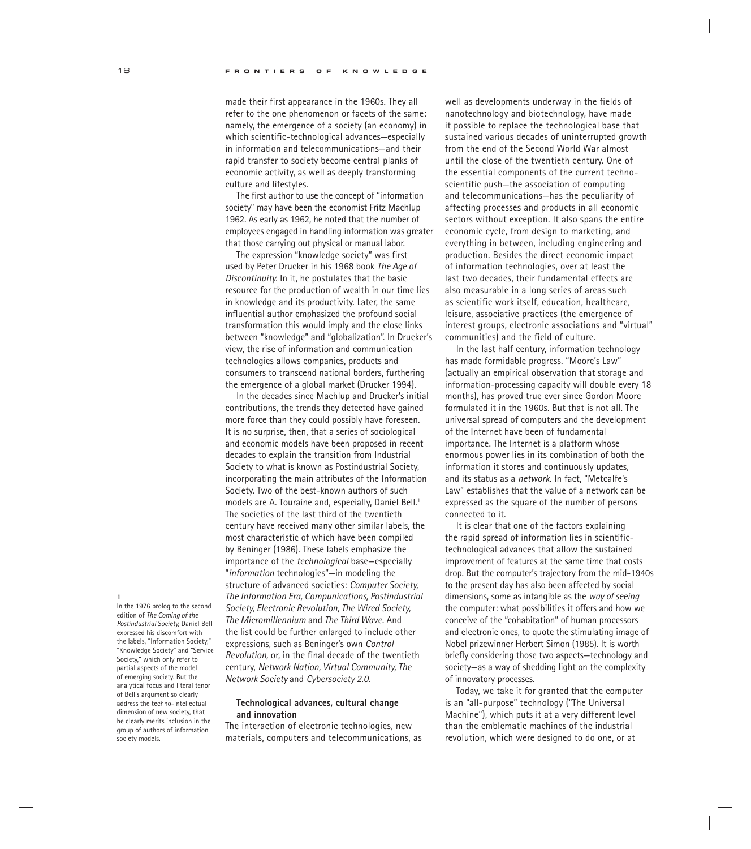made their first appearance in the 1960s. They all refer to the one phenomenon or facets of the same: namely, the emergence of a society (an economy) in which scientific-technological advances—especially in information and telecommunications—and their rapid transfer to society become central planks of economic activity, as well as deeply transforming culture and lifestyles.

The first author to use the concept of "information society" may have been the economist Fritz Machlup 1962. As early as 1962, he noted that the number of employees engaged in handling information was greater that those carrying out physical or manual labor.

The expression "knowledge society" was first used by Peter Drucker in his 1968 book *The Age of Discontinuity.* In it, he postulates that the basic resource for the production of wealth in our time lies in knowledge and its productivity. Later, the same influential author emphasized the profound social transformation this would imply and the close links between "knowledge" and "globalization". In Drucker's view, the rise of information and communication technologies allows companies, products and consumers to transcend national borders, furthering the emergence of a global market (Drucker 1994).

In the decades since Machlup and Drucker's initial contributions, the trends they detected have gained more force than they could possibly have foreseen. It is no surprise, then, that a series of sociological and economic models have been proposed in recent decades to explain the transition from Industrial Society to what is known as Postindustrial Society, incorporating the main attributes of the Information Society. Two of the best-known authors of such models are A. Touraine and, especially, Daniel Bell.<sup>1</sup> The societies of the last third of the twentieth century have received many other similar labels, the most characteristic of which have been compiled by Beninger (1986). These labels emphasize the importance of the *technological* base—especially "*information* technologies"—in modeling the structure of advanced societies: *Computer Society, The Information Era, Compunications, Postindustrial Society, Electronic Revolution, The Wired Society, The Micromillennium* and *The Third Wave.* And the list could be further enlarged to include other expressions, such as Beninger's own *Control Revolution,* or, in the final decade of the twentieth century, *Network Nation, Virtual Community, The Network Society* and *Cybersociety 2.0.*

## **Technological advances, cultural change and innovation**

The interaction of electronic technologies, new materials, computers and telecommunications, as well as developments underway in the fields of nanotechnology and biotechnology, have made it possible to replace the technological base that sustained various decades of uninterrupted growth from the end of the Second World War almost until the close of the twentieth century. One of the essential components of the current technoscientific push—the association of computing and telecommunications—has the peculiarity of affecting processes and products in all economic sectors without exception. It also spans the entire economic cycle, from design to marketing, and everything in between, including engineering and production. Besides the direct economic impact of information technologies, over at least the last two decades, their fundamental effects are also measurable in a long series of areas such as scientific work itself, education, healthcare, leisure, associative practices (the emergence of interest groups, electronic associations and "virtual" communities) and the field of culture.

In the last half century, information technology has made formidable progress. "Moore's Law" (actually an empirical observation that storage and information-processing capacity will double every 18 months), has proved true ever since Gordon Moore formulated it in the 1960s. But that is not all. The universal spread of computers and the development of the Internet have been of fundamental importance. The Internet is a platform whose enormous power lies in its combination of both the information it stores and continuously updates, and its status as a *network.* In fact, "Metcalfe's Law" establishes that the value of a network can be expressed as the square of the number of persons connected to it.

It is clear that one of the factors explaining the rapid spread of information lies in scientifictechnological advances that allow the sustained improvement of features at the same time that costs drop. But the computer's trajectory from the mid-1940s to the present day has also been affected by social dimensions, some as intangible as the *way of seeing* the computer: what possibilities it offers and how we conceive of the "cohabitation" of human processors and electronic ones, to quote the stimulating image of Nobel prizewinner Herbert Simon (1985). It is worth briefly considering those two aspects—technology and society—as a way of shedding light on the complexity of innovatory processes.

Today, we take it for granted that the computer is an "all-purpose" technology ("The Universal Machine"), which puts it at a very different level than the emblematic machines of the industrial revolution, which were designed to do one, or at

**1** In the 1976 prolog to the second

edition of *The Coming of the Postindustrial Society,* Daniel Bell expressed his discomfort with the labels, "Information Society," "Knowledge Society" and "Service Society," which only refer to partial aspects of the model of emerging society. But the analytical focus and literal tenor of Bell's argument so clearly address the techno-intellectual dimension of new society, that he clearly merits inclusion in the group of authors of information society models.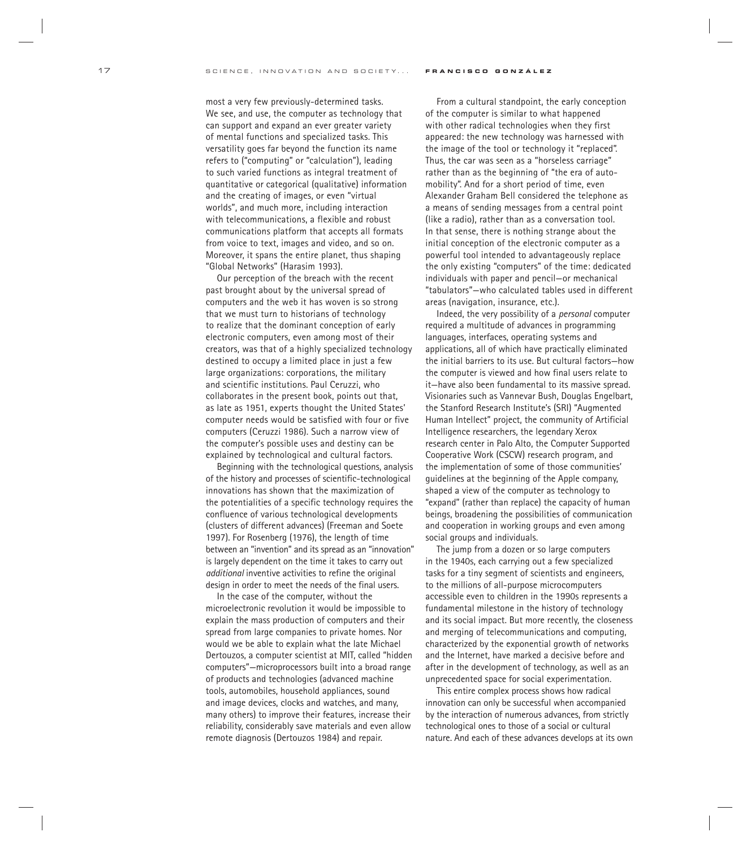most a very few previously-determined tasks. We see, and use, the computer as technology that can support and expand an ever greater variety of mental functions and specialized tasks. This versatility goes far beyond the function its name refers to ("computing" or "calculation"), leading to such varied functions as integral treatment of quantitative or categorical (qualitative) information and the creating of images, or even "virtual worlds", and much more, including interaction with telecommunications, a flexible and robust communications platform that accepts all formats from voice to text, images and video, and so on. Moreover, it spans the entire planet, thus shaping "Global Networks" (Harasim 1993).

Our perception of the breach with the recent past brought about by the universal spread of computers and the web it has woven is so strong that we must turn to historians of technology to realize that the dominant conception of early electronic computers, even among most of their creators, was that of a highly specialized technology destined to occupy a limited place in just a few large organizations: corporations, the military and scientific institutions. Paul Ceruzzi, who collaborates in the present book, points out that, as late as 1951, experts thought the United States' computer needs would be satisfied with four or five computers (Ceruzzi 1986). Such a narrow view of the computer's possible uses and destiny can be explained by technological and cultural factors.

Beginning with the technological questions, analysis of the history and processes of scientific-technological innovations has shown that the maximization of the potentialities of a specific technology requires the confluence of various technological developments (clusters of different advances) (Freeman and Soete 1997). For Rosenberg (1976), the length of time between an "invention" and its spread as an "innovation" is largely dependent on the time it takes to carry out *additional* inventive activities to refine the original design in order to meet the needs of the final users.

In the case of the computer, without the microelectronic revolution it would be impossible to explain the mass production of computers and their spread from large companies to private homes. Nor would we be able to explain what the late Michael Dertouzos, a computer scientist at MIT, called "hidden computers"—microprocessors built into a broad range of products and technologies (advanced machine tools, automobiles, household appliances, sound and image devices, clocks and watches, and many, many others) to improve their features, increase their reliability, considerably save materials and even allow remote diagnosis (Dertouzos 1984) and repair.

From a cultural standpoint, the early conception of the computer is similar to what happened with other radical technologies when they first appeared: the new technology was harnessed with the image of the tool or technology it "replaced". Thus, the car was seen as a "horseless carriage" rather than as the beginning of "the era of automobility". And for a short period of time, even Alexander Graham Bell considered the telephone as a means of sending messages from a central point (like a radio), rather than as a conversation tool. In that sense, there is nothing strange about the initial conception of the electronic computer as a powerful tool intended to advantageously replace the only existing "computers" of the time: dedicated individuals with paper and pencil—or mechanical "tabulators"—who calculated tables used in different areas (navigation, insurance, etc.).

Indeed, the very possibility of a *personal* computer required a multitude of advances in programming languages, interfaces, operating systems and applications, all of which have practically eliminated the initial barriers to its use. But cultural factors—how the computer is viewed and how final users relate to it—have also been fundamental to its massive spread. Visionaries such as Vannevar Bush, Douglas Engelbart, the Stanford Research Institute's (SRI) "Augmented Human Intellect" project, the community of Artificial Intelligence researchers, the legendary Xerox research center in Palo Alto, the Computer Supported Cooperative Work (CSCW) research program, and the implementation of some of those communities' guidelines at the beginning of the Apple company, shaped a view of the computer as technology to "expand" (rather than replace) the capacity of human beings, broadening the possibilities of communication and cooperation in working groups and even among social groups and individuals.

The jump from a dozen or so large computers in the 1940s, each carrying out a few specialized tasks for a tiny segment of scientists and engineers, to the millions of all-purpose microcomputers accessible even to children in the 1990s represents a fundamental milestone in the history of technology and its social impact. But more recently, the closeness and merging of telecommunications and computing, characterized by the exponential growth of networks and the Internet, have marked a decisive before and after in the development of technology, as well as an unprecedented space for social experimentation.

This entire complex process shows how radical innovation can only be successful when accompanied by the interaction of numerous advances, from strictly technological ones to those of a social or cultural nature. And each of these advances develops at its own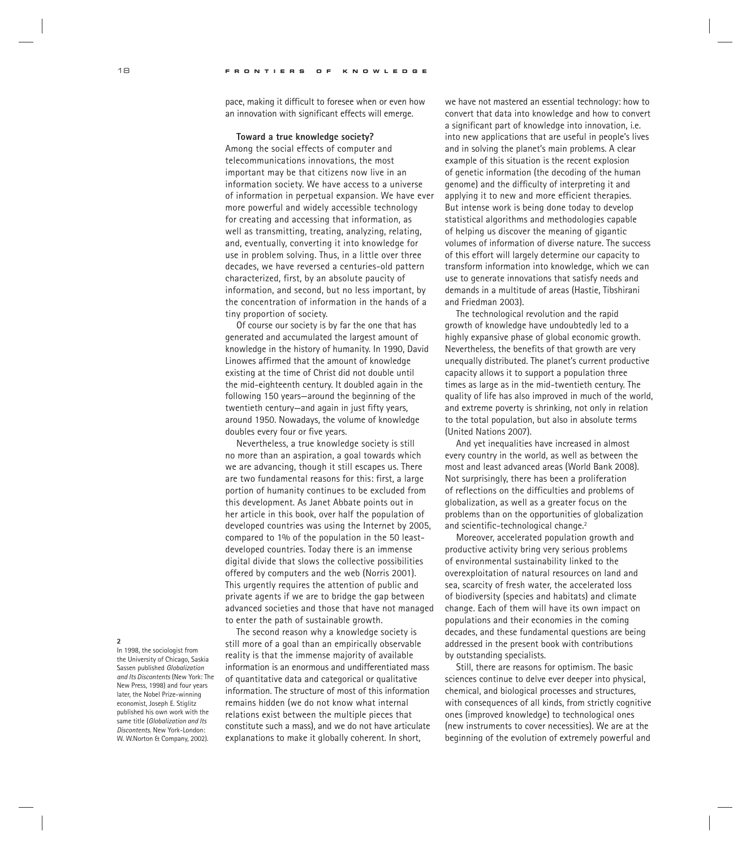pace, making it difficult to foresee when or even how an innovation with significant effects will emerge.

## **Toward a true knowledge society?**

Among the social effects of computer and telecommunications innovations, the most important may be that citizens now live in an information society. We have access to a universe of information in perpetual expansion. We have ever more powerful and widely accessible technology for creating and accessing that information, as well as transmitting, treating, analyzing, relating, and, eventually, converting it into knowledge for use in problem solving. Thus, in a little over three decades, we have reversed a centuries-old pattern characterized, first, by an absolute paucity of information, and second, but no less important, by the concentration of information in the hands of a tiny proportion of society.

Of course our society is by far the one that has generated and accumulated the largest amount of knowledge in the history of humanity. In 1990, David Linowes affirmed that the amount of knowledge existing at the time of Christ did not double until the mid-eighteenth century. It doubled again in the following 150 years—around the beginning of the twentieth century—and again in just fifty years, around 1950. Nowadays, the volume of knowledge doubles every four or five years.

Nevertheless, a true knowledge society is still no more than an aspiration, a goal towards which we are advancing, though it still escapes us. There are two fundamental reasons for this: first, a large portion of humanity continues to be excluded from this development. As Janet Abbate points out in her article in this book, over half the population of developed countries was using the Internet by 2005, compared to 1% of the population in the 50 leastdeveloped countries. Today there is an immense digital divide that slows the collective possibilities offered by computers and the web (Norris 2001). This urgently requires the attention of public and private agents if we are to bridge the gap between advanced societies and those that have not managed to enter the path of sustainable growth.

The second reason why a knowledge society is still more of a goal than an empirically observable reality is that the immense majority of available information is an enormous and undifferentiated mass of quantitative data and categorical or qualitative information. The structure of most of this information remains hidden (we do not know what internal relations exist between the multiple pieces that constitute such a mass), and we do not have articulate explanations to make it globally coherent. In short,

we have not mastered an essential technology: how to convert that data into knowledge and how to convert a significant part of knowledge into innovation, i.e. into new applications that are useful in people's lives and in solving the planet's main problems. A clear example of this situation is the recent explosion of genetic information (the decoding of the human genome) and the difficulty of interpreting it and applying it to new and more efficient therapies. But intense work is being done today to develop statistical algorithms and methodologies capable of helping us discover the meaning of gigantic volumes of information of diverse nature. The success of this effort will largely determine our capacity to transform information into knowledge, which we can use to generate innovations that satisfy needs and demands in a multitude of areas (Hastie, Tibshirani and Friedman 2003).

The technological revolution and the rapid growth of knowledge have undoubtedly led to a highly expansive phase of global economic growth. Nevertheless, the benefits of that growth are very unequally distributed. The planet's current productive capacity allows it to support a population three times as large as in the mid-twentieth century. The quality of life has also improved in much of the world, and extreme poverty is shrinking, not only in relation to the total population, but also in absolute terms (United Nations 2007).

And yet inequalities have increased in almost every country in the world, as well as between the most and least advanced areas (World Bank 2008). Not surprisingly, there has been a proliferation of reflections on the difficulties and problems of globalization, as well as a greater focus on the problems than on the opportunities of globalization and scientific-technological change.<sup>2</sup>

Moreover, accelerated population growth and productive activity bring very serious problems of environmental sustainability linked to the overexploitation of natural resources on land and sea, scarcity of fresh water, the accelerated loss of biodiversity (species and habitats) and climate change. Each of them will have its own impact on populations and their economies in the coming decades, and these fundamental questions are being addressed in the present book with contributions by outstanding specialists.

Still, there are reasons for optimism. The basic sciences continue to delve ever deeper into physical, chemical, and biological processes and structures, with consequences of all kinds, from strictly cognitive ones (improved knowledge) to technological ones (new instruments to cover necessities). We are at the beginning of the evolution of extremely powerful and

#### **2**

In 1998, the sociologist from the University of Chicago, Saskia Sassen published *Globalization and Its Discontents* (New York: The New Press, 1998) and four years later, the Nobel Prize-winning economist, Joseph E. Stiglitz published his own work with the same title (*Globalization and Its Discontents*. New York-London: W. W.Norton & Company, 2002).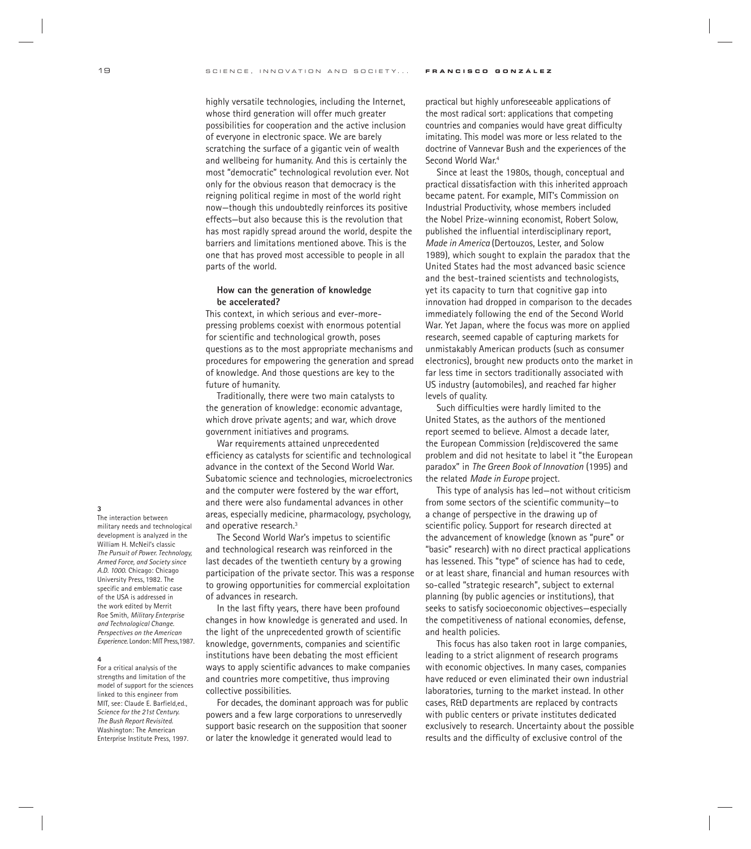highly versatile technologies, including the Internet, whose third generation will offer much greater possibilities for cooperation and the active inclusion of everyone in electronic space. We are barely scratching the surface of a gigantic vein of wealth and wellbeing for humanity. And this is certainly the most "democratic" technological revolution ever. Not only for the obvious reason that democracy is the reigning political regime in most of the world right now—though this undoubtedly reinforces its positive effects—but also because this is the revolution that has most rapidly spread around the world, despite the barriers and limitations mentioned above. This is the one that has proved most accessible to people in all parts of the world.

## **How can the generation of knowledge be accelerated?**

This context, in which serious and ever-morepressing problems coexist with enormous potential for scientific and technological growth, poses questions as to the most appropriate mechanisms and procedures for empowering the generation and spread of knowledge. And those questions are key to the future of humanity.

Traditionally, there were two main catalysts to the generation of knowledge: economic advantage, which drove private agents; and war, which drove government initiatives and programs.

War requirements attained unprecedented efficiency as catalysts for scientific and technological advance in the context of the Second World War. Subatomic science and technologies, microelectronics and the computer were fostered by the war effort, and there were also fundamental advances in other areas, especially medicine, pharmacology, psychology, and operative research.<sup>3</sup>

The Second World War's impetus to scientific and technological research was reinforced in the last decades of the twentieth century by a growing participation of the private sector. This was a response to growing opportunities for commercial exploitation of advances in research.

In the last fifty years, there have been profound changes in how knowledge is generated and used. In the light of the unprecedented growth of scientific knowledge, governments, companies and scientific institutions have been debating the most efficient ways to apply scientific advances to make companies and countries more competitive, thus improving collective possibilities.

For decades, the dominant approach was for public powers and a few large corporations to unreservedly support basic research on the supposition that sooner or later the knowledge it generated would lead to

practical but highly unforeseeable applications of the most radical sort: applications that competing countries and companies would have great difficulty imitating. This model was more or less related to the doctrine of Vannevar Bush and the experiences of the Second World War.<sup>4</sup>

Since at least the 1980s, though, conceptual and practical dissatisfaction with this inherited approach became patent. For example, MIT's Commission on Industrial Productivity, whose members included the Nobel Prize-winning economist, Robert Solow, published the influential interdisciplinary report, *Made in America* (Dertouzos, Lester, and Solow 1989)*,* which sought to explain the paradox that the United States had the most advanced basic science and the best-trained scientists and technologists, yet its capacity to turn that cognitive gap into innovation had dropped in comparison to the decades immediately following the end of the Second World War. Yet Japan, where the focus was more on applied research, seemed capable of capturing markets for unmistakably American products (such as consumer electronics), brought new products onto the market in far less time in sectors traditionally associated with US industry (automobiles), and reached far higher levels of quality.

Such difficulties were hardly limited to the United States, as the authors of the mentioned report seemed to believe. Almost a decade later, the European Commission (re)discovered the same problem and did not hesitate to label it "the European paradox" in *The Green Book of Innovation* (1995) and the related *Made in Europe* project.

This type of analysis has led—not without criticism from some sectors of the scientific community—to a change of perspective in the drawing up of scientific policy. Support for research directed at the advancement of knowledge (known as "pure" or "basic" research) with no direct practical applications has lessened. This "type" of science has had to cede, or at least share, financial and human resources with so-called "strategic research", subject to external planning (by public agencies or institutions), that seeks to satisfy socioeconomic objectives—especially the competitiveness of national economies, defense, and health policies.

This focus has also taken root in large companies, leading to a strict alignment of research programs with economic objectives. In many cases, companies have reduced or even eliminated their own industrial laboratories, turning to the market instead. In other cases, R&D departments are replaced by contracts with public centers or private institutes dedicated exclusively to research. Uncertainty about the possible results and the difficulty of exclusive control of the

#### **3**

The interaction between military needs and technological development is analyzed in the William H. McNeil's classic *The Pursuit of Power. Technology, Armed Force, and Society since A.D. 1000*. Chicago: Chicago University Press, 1982. The specific and emblematic case of the USA is addressed in the work edited by Merrit Roe Smith, *Military Enterprise and Technological Change. Perspectives on the American Experience*. London: MIT Press,1987.

#### **4**

For a critical analysis of the strengths and limitation of the model of support for the sciences linked to this engineer from MIT, see: Claude E. Barfield,ed., *Science for the 21st Century. The Bush Report Revisited*. Washington: The American Enterprise Institute Press, 1997.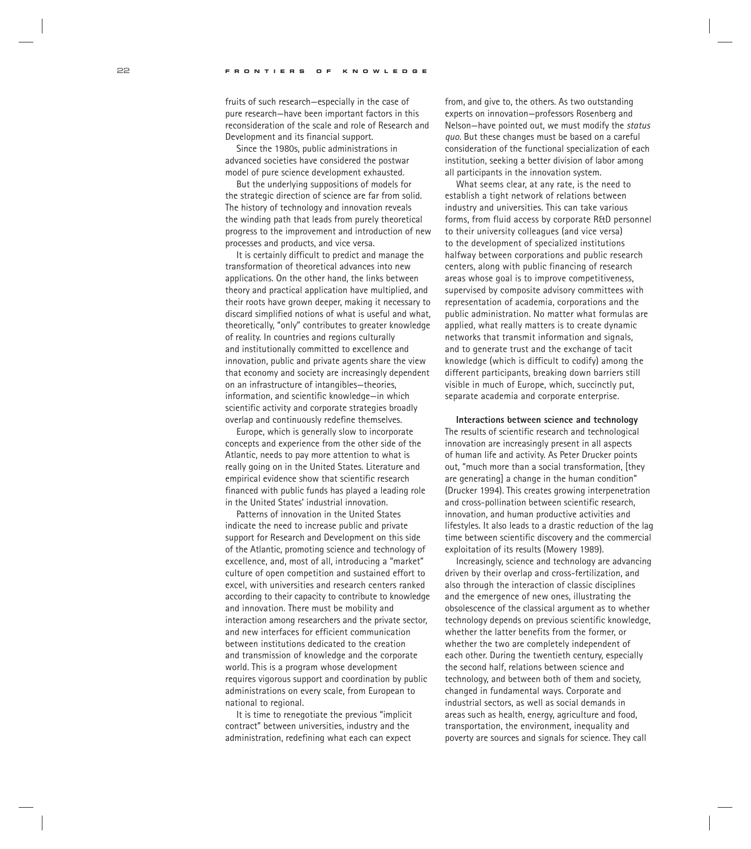fruits of such research—especially in the case of pure research—have been important factors in this reconsideration of the scale and role of Research and Development and its financial support.

Since the 1980s, public administrations in advanced societies have considered the postwar model of pure science development exhausted.

But the underlying suppositions of models for the strategic direction of science are far from solid. The history of technology and innovation reveals the winding path that leads from purely theoretical progress to the improvement and introduction of new processes and products, and vice versa.

It is certainly difficult to predict and manage the transformation of theoretical advances into new applications. On the other hand, the links between theory and practical application have multiplied, and their roots have grown deeper, making it necessary to discard simplified notions of what is useful and what, theoretically, "only" contributes to greater knowledge of reality. In countries and regions culturally and institutionally committed to excellence and innovation, public and private agents share the view that economy and society are increasingly dependent on an infrastructure of intangibles—theories, information, and scientific knowledge—in which scientific activity and corporate strategies broadly overlap and continuously redefine themselves.

Europe, which is generally slow to incorporate concepts and experience from the other side of the Atlantic, needs to pay more attention to what is really going on in the United States. Literature and empirical evidence show that scientific research financed with public funds has played a leading role in the United States' industrial innovation.

Patterns of innovation in the United States indicate the need to increase public and private support for Research and Development on this side of the Atlantic, promoting science and technology of excellence, and, most of all, introducing a "market" culture of open competition and sustained effort to excel, with universities and research centers ranked according to their capacity to contribute to knowledge and innovation. There must be mobility and interaction among researchers and the private sector, and new interfaces for efficient communication between institutions dedicated to the creation and transmission of knowledge and the corporate world. This is a program whose development requires vigorous support and coordination by public administrations on every scale, from European to national to regional.

It is time to renegotiate the previous "implicit contract" between universities, industry and the administration, redefining what each can expect

from, and give to, the others. As two outstanding experts on innovation—professors Rosenberg and Nelson—have pointed out, we must modify the *status quo.* But these changes must be based on a careful consideration of the functional specialization of each institution, seeking a better division of labor among all participants in the innovation system.

What seems clear, at any rate, is the need to establish a tight network of relations between industry and universities. This can take various forms, from fluid access by corporate R&D personnel to their university colleagues (and vice versa) to the development of specialized institutions halfway between corporations and public research centers, along with public financing of research areas whose goal is to improve competitiveness, supervised by composite advisory committees with representation of academia, corporations and the public administration. No matter what formulas are applied, what really matters is to create dynamic networks that transmit information and signals, and to generate trust and the exchange of tacit knowledge (which is difficult to codify) among the different participants, breaking down barriers still visible in much of Europe, which, succinctly put, separate academia and corporate enterprise.

**Interactions between science and technology** The results of scientific research and technological innovation are increasingly present in all aspects of human life and activity. As Peter Drucker points out, "much more than a social transformation, [they are generating] a change in the human condition" (Drucker 1994). This creates growing interpenetration and cross-pollination between scientific research, innovation, and human productive activities and lifestyles. It also leads to a drastic reduction of the lag time between scientific discovery and the commercial exploitation of its results (Mowery 1989).

Increasingly, science and technology are advancing driven by their overlap and cross-fertilization, and also through the interaction of classic disciplines and the emergence of new ones, illustrating the obsolescence of the classical argument as to whether technology depends on previous scientific knowledge, whether the latter benefits from the former, or whether the two are completely independent of each other. During the twentieth century, especially the second half, relations between science and technology, and between both of them and society, changed in fundamental ways. Corporate and industrial sectors, as well as social demands in areas such as health, energy, agriculture and food, transportation, the environment, inequality and poverty are sources and signals for science. They call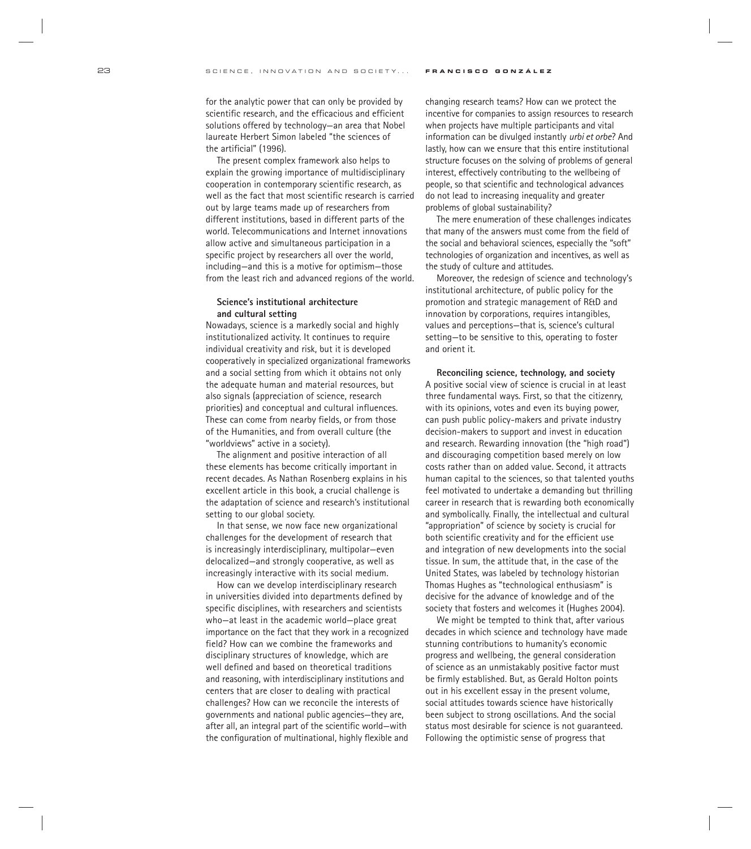for the analytic power that can only be provided by scientific research, and the efficacious and efficient solutions offered by technology—an area that Nobel laureate Herbert Simon labeled "the sciences of the artificial" (1996).

The present complex framework also helps to explain the growing importance of multidisciplinary cooperation in contemporary scientific research, as well as the fact that most scientific research is carried out by large teams made up of researchers from different institutions, based in different parts of the world. Telecommunications and Internet innovations allow active and simultaneous participation in a specific project by researchers all over the world, including—and this is a motive for optimism—those from the least rich and advanced regions of the world.

## **Science's institutional architecture and cultural setting**

Nowadays, science is a markedly social and highly institutionalized activity. It continues to require individual creativity and risk, but it is developed cooperatively in specialized organizational frameworks and a social setting from which it obtains not only the adequate human and material resources, but also signals (appreciation of science, research priorities) and conceptual and cultural influences. These can come from nearby fields, or from those of the Humanities, and from overall culture (the "worldviews" active in a society).

The alignment and positive interaction of all these elements has become critically important in recent decades. As Nathan Rosenberg explains in his excellent article in this book, a crucial challenge is the adaptation of science and research's institutional setting to our global society.

In that sense, we now face new organizational challenges for the development of research that is increasingly interdisciplinary, multipolar—even delocalized—and strongly cooperative, as well as increasingly interactive with its social medium.

How can we develop interdisciplinary research in universities divided into departments defined by specific disciplines, with researchers and scientists who—at least in the academic world—place great importance on the fact that they work in a recognized field? How can we combine the frameworks and disciplinary structures of knowledge, which are well defined and based on theoretical traditions and reasoning, with interdisciplinary institutions and centers that are closer to dealing with practical challenges? How can we reconcile the interests of governments and national public agencies—they are, after all, an integral part of the scientific world—with the configuration of multinational, highly flexible and

changing research teams? How can we protect the incentive for companies to assign resources to research when projects have multiple participants and vital information can be divulged instantly *urbi et orbe*? And lastly, how can we ensure that this entire institutional structure focuses on the solving of problems of general interest, effectively contributing to the wellbeing of people, so that scientific and technological advances do not lead to increasing inequality and greater problems of global sustainability?

The mere enumeration of these challenges indicates that many of the answers must come from the field of the social and behavioral sciences, especially the "soft" technologies of organization and incentives, as well as the study of culture and attitudes.

Moreover, the redesign of science and technology's institutional architecture, of public policy for the promotion and strategic management of R&D and innovation by corporations, requires intangibles, values and perceptions—that is, science's cultural setting—to be sensitive to this, operating to foster and orient it.

**Reconciling science, technology, and society** A positive social view of science is crucial in at least three fundamental ways. First, so that the citizenry, with its opinions, votes and even its buying power, can push public policy-makers and private industry decision-makers to support and invest in education and research. Rewarding innovation (the "high road") and discouraging competition based merely on low costs rather than on added value. Second, it attracts human capital to the sciences, so that talented youths feel motivated to undertake a demanding but thrilling career in research that is rewarding both economically and symbolically. Finally, the intellectual and cultural "appropriation" of science by society is crucial for both scientific creativity and for the efficient use and integration of new developments into the social tissue. In sum, the attitude that, in the case of the United States, was labeled by technology historian Thomas Hughes as "technological enthusiasm" is decisive for the advance of knowledge and of the society that fosters and welcomes it (Hughes 2004).

We might be tempted to think that, after various decades in which science and technology have made stunning contributions to humanity's economic progress and wellbeing, the general consideration of science as an unmistakably positive factor must be firmly established. But, as Gerald Holton points out in his excellent essay in the present volume, social attitudes towards science have historically been subject to strong oscillations. And the social status most desirable for science is not guaranteed. Following the optimistic sense of progress that